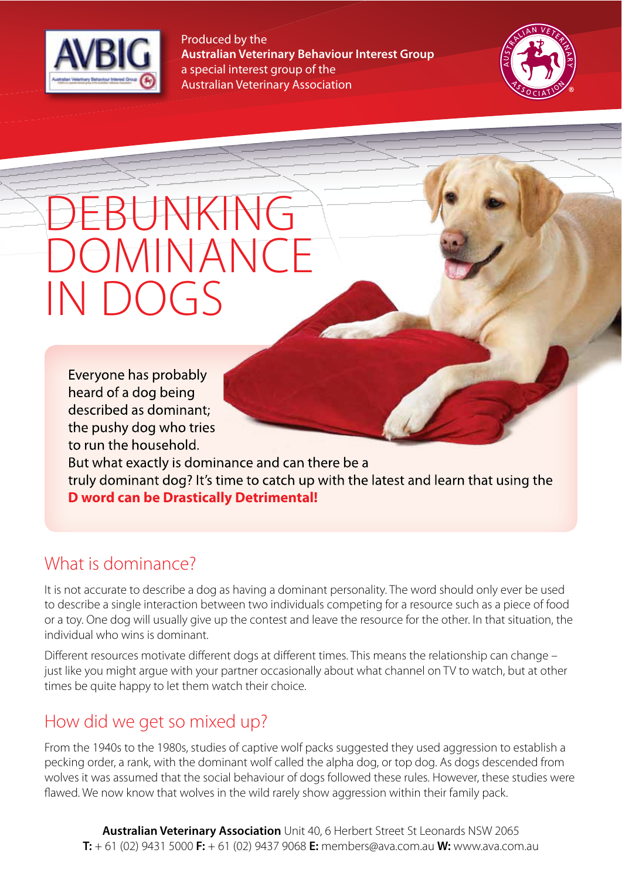

Produced by the **Australian Veterinary Behaviour Interest Group** a special interest group of the Australian Veterinary Association



# $\left\{ \right. \right. \left\{ \right. \left\{ \right. \left. \right\} \left. \left. \right\{ \right. \left. \left. \right\{ \right. \left. \right\} \left. \left. \right\{ \right. \left. \left. \right\{ \right. \right\} \left. \left. \left. \right\{ \right. \left. \left. \right\{ \right. \left. \left. \right\{ \right. \right\} \left. \left. \left. \right\{ \right. \right\} \left. \left. \left. \right\{ \right. \left. \left. \left. \right\{ \right. \right\} \left. \left. \left. \right\{ \right. \right\} \left. \$ DOMINANCE IN DOGS

Everyone has probably heard of a dog being described as dominant; the pushy dog who tries to run the household. But what exactly is dominance and can there be a

truly dominant dog? It's time to catch up with the latest and learn that using the **D word can be Drastically Detrimental!**

#### What is dominance?

It is not accurate to describe a dog as having a dominant personality. The word should only ever be used to describe a single interaction between two individuals competing for a resource such as a piece of food or a toy. One dog will usually give up the contest and leave the resource for the other. In that situation, the individual who wins is dominant.

Diferent resources motivate diferent dogs at diferent times. This means the relationship can change – just like you might argue with your partner occasionally about what channel on TV to watch, but at other times be quite happy to let them watch their choice.

#### How did we get so mixed up?

From the 1940s to the 1980s, studies of captive wolf packs suggested they used aggression to establish a pecking order, a rank, with the dominant wolf called the alpha dog, or top dog. As dogs descended from wolves it was assumed that the social behaviour of dogs followed these rules. However, these studies were fawed. We now know that wolves in the wild rarely show aggression within their family pack.

**Australian Veterinary Association** Unit 40, 6 Herbert Street St Leonards NSW 2065 **T:** + 61 (02) 9431 5000 **F:** + 61 (02) 9437 9068 **E:** members@ava.com.au **W:** www.ava.com.au